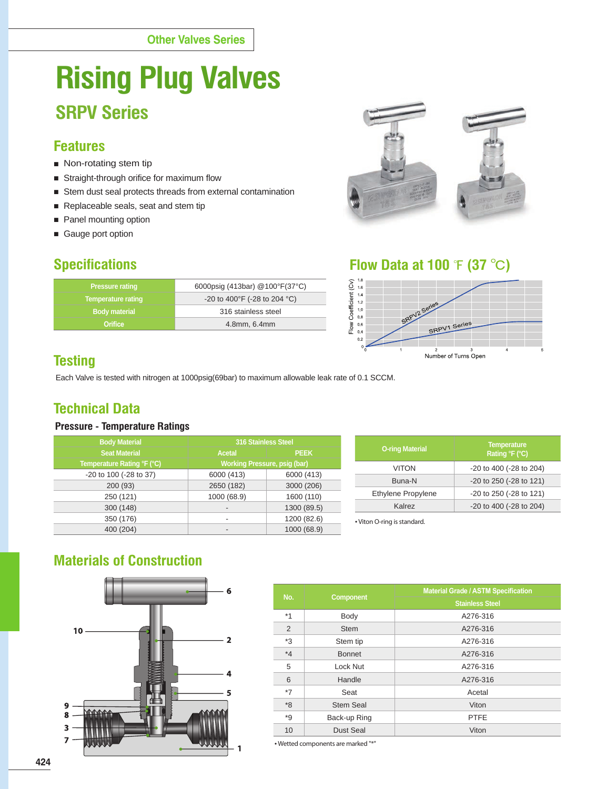# **Rising Plug Valves SRPV Series**

## **Features**

- Non-rotating stem tip
- Straight-through orifice for maximum flow
- Stem dust seal protects threads from external contamination
- Replaceable seals, seat and stem tip
- Panel mounting option
- Gauge port option

| <b>Pressure rating</b>    | 6000psig (413bar) @100°F(37°C) |
|---------------------------|--------------------------------|
| <b>Temperature rating</b> | -20 to 400°F (-28 to 204 °C)   |
| <b>Body material</b>      | 316 stainless steel            |
| <b>Orifice</b>            | 4.8mm, 6.4mm                   |
|                           |                                |



**Specifications Flow Data at 100**  $\angle$  **(37**  $\angle$ **C)** 



# **Testing**

Each Valve is tested with nitrogen at 1000psig(69bar) to maximum allowable leak rate of 0.1 SCCM.

# **Technical Data**

#### **Pressure - Temperature Ratings**

|           | <b>Body Material</b>       | 316 Stainless Steel          |             | <b>O-ring Material</b>      | <b>Temperature</b>       |  |  |
|-----------|----------------------------|------------------------------|-------------|-----------------------------|--------------------------|--|--|
|           | <b>Seat Material</b>       | <b>PEEK</b><br><b>Acetal</b> |             |                             | Rating $\mathsf{F}$ (°C) |  |  |
|           | Temperature Rating °F (°C) | Working Pressure, psig (bar) |             | <b>VITON</b>                | -20 to 400 (-28 to 204)  |  |  |
|           | -20 to 100 (-28 to 37)     | 6000 (413)                   | 6000 (413)  |                             |                          |  |  |
|           | 200(93)                    | 2650 (182)                   | 3000 (206)  | Buna-N                      | -20 to 250 (-28 to 121)  |  |  |
|           | 250 (121)                  | 1000 (68.9)                  | 1600 (110)  | Ethylene Propylene          | -20 to 250 (-28 to 121)  |  |  |
|           | 300 (148)                  |                              | 1300 (89.5) | Kalrez                      | -20 to 400 (-28 to 204)  |  |  |
|           | 350 (176)                  |                              | 1200 (82.6) | • Viton O-ring is standard. |                          |  |  |
| 400 (204) |                            |                              | 1000 (68.9) |                             |                          |  |  |

# **Materials of Construction**



| No.     | <b>Component</b> | <b>Material Grade / ASTM Specification</b> |  |  |  |  |  |
|---------|------------------|--------------------------------------------|--|--|--|--|--|
|         |                  | <b>Stainless Steel</b>                     |  |  |  |  |  |
| $*1$    | Body             | A276-316                                   |  |  |  |  |  |
| 2       | <b>Stem</b>      | A276-316                                   |  |  |  |  |  |
| *3      | Stem tip         | A276-316                                   |  |  |  |  |  |
| $*_{4}$ | <b>Bonnet</b>    | A276-316                                   |  |  |  |  |  |
| 5       | Lock Nut         | A276-316                                   |  |  |  |  |  |
| 6       | Handle           | A276-316                                   |  |  |  |  |  |
| $*7$    | Seat             | Acetal                                     |  |  |  |  |  |
| $8*$    | <b>Stem Seal</b> | Viton                                      |  |  |  |  |  |
| $*9$    | Back-up Ring     | <b>PTFE</b>                                |  |  |  |  |  |
| 10      | Dust Seal        | Viton                                      |  |  |  |  |  |

• Wetted components are marked "\*"